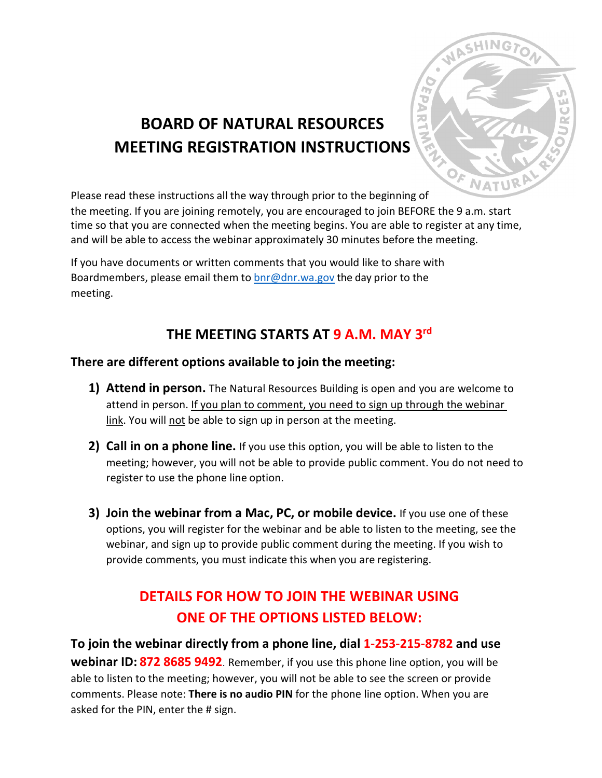

# **BOARD OF NATURAL RESOURCES MEETING REGISTRATION INSTRUCTIONS**

Please read these instructions all the way through prior to the beginning of

the meeting. If you are joining remotely, you are encouraged to join BEFORE the 9 a.m. start time so that you are connected when the meeting begins. You are able to register at any time, and will be able to access the webinar approximately 30 minutes before the meeting.

If you have documents or written comments that you would like to share with Boardmembers, please email them to  $\frac{b}{c}$  on r.wa.gov the day prior to the meeting.

### **THE MEETING STARTS AT 9 A.M. MAY 3rd**

### **There are different options available to join the meeting:**

- **1) Attend in person.** The Natural Resources Building is open and you are welcome to attend in person. If you plan to comment, you need to sign up through the webinar link. You will not be able to sign up in person at the meeting.
- **2) Call in on a phone line.** If you use this option, you will be able to listen to the meeting; however, you will not be able to provide public comment. You do not need to register to use the phone line option.
- **3) Join the webinar from a Mac, PC, or mobile device.** If you use one of these options, you will register for the webinar and be able to listen to the meeting, see the webinar, and sign up to provide public comment during the meeting. If you wish to provide comments, you must indicate this when you are registering.

## **DETAILS FOR HOW TO JOIN THE WEBINAR USING ONE OF THE OPTIONS LISTED BELOW:**

**To join the webinar directly from a phone line, dial 1-253-215-8782 and use webinar ID: 872 8685 9492**. Remember, if you use this phone line option, you will be able to listen to the meeting; however, you will not be able to see the screen or provide comments. Please note: **There is no audio PIN** for the phone line option. When you are asked for the PIN, enter the # sign.